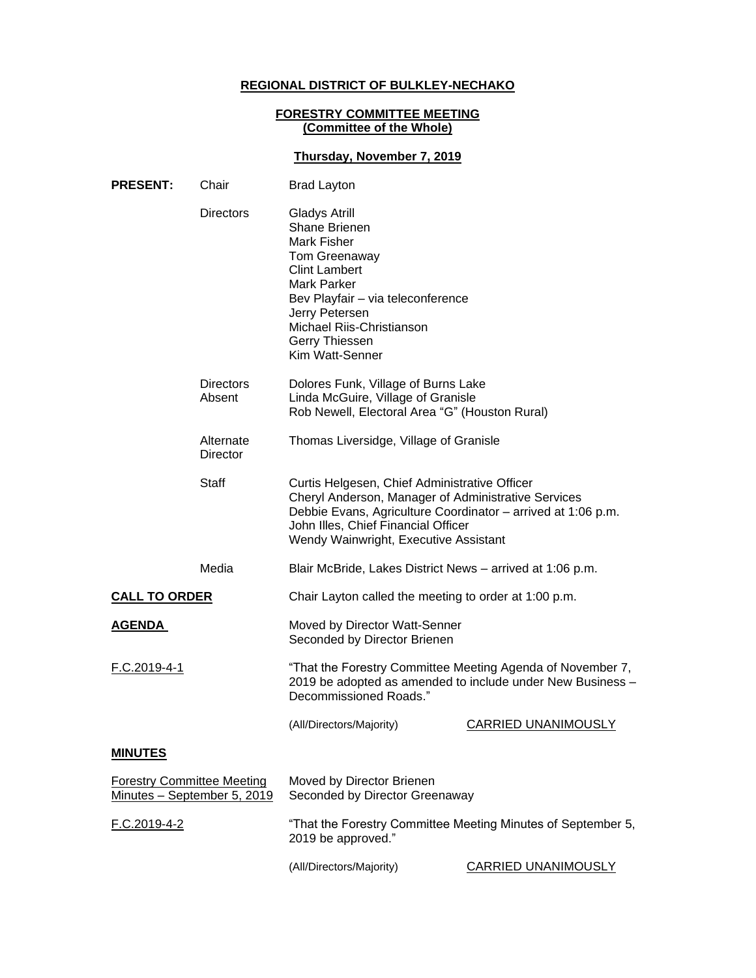# **REGIONAL DISTRICT OF BULKLEY-NECHAKO**

### **FORESTRY COMMITTEE MEETING (Committee of the Whole)**

# **Thursday, November 7, 2019**

| <b>PRESENT:</b>                                                  | Chair                      | <b>Brad Layton</b>                                                                                                                                                                                                                                   |                            |
|------------------------------------------------------------------|----------------------------|------------------------------------------------------------------------------------------------------------------------------------------------------------------------------------------------------------------------------------------------------|----------------------------|
|                                                                  | <b>Directors</b>           | <b>Gladys Atrill</b><br><b>Shane Brienen</b><br>Mark Fisher<br><b>Tom Greenaway</b><br><b>Clint Lambert</b><br>Mark Parker<br>Bev Playfair - via teleconference<br>Jerry Petersen<br>Michael Riis-Christianson<br>Gerry Thiessen<br>Kim Watt-Senner  |                            |
|                                                                  | <b>Directors</b><br>Absent | Dolores Funk, Village of Burns Lake<br>Linda McGuire, Village of Granisle<br>Rob Newell, Electoral Area "G" (Houston Rural)                                                                                                                          |                            |
|                                                                  | Alternate<br>Director      | Thomas Liversidge, Village of Granisle                                                                                                                                                                                                               |                            |
|                                                                  | Staff                      | Curtis Helgesen, Chief Administrative Officer<br>Cheryl Anderson, Manager of Administrative Services<br>Debbie Evans, Agriculture Coordinator - arrived at 1:06 p.m.<br>John Illes, Chief Financial Officer<br>Wendy Wainwright, Executive Assistant |                            |
|                                                                  | Media                      | Blair McBride, Lakes District News - arrived at 1:06 p.m.                                                                                                                                                                                            |                            |
| <b>CALL TO ORDER</b>                                             |                            | Chair Layton called the meeting to order at 1:00 p.m.                                                                                                                                                                                                |                            |
| <u>AGENDA</u>                                                    |                            | Moved by Director Watt-Senner<br>Seconded by Director Brienen                                                                                                                                                                                        |                            |
| F.C.2019-4-1                                                     |                            | "That the Forestry Committee Meeting Agenda of November 7,<br>2019 be adopted as amended to include under New Business -<br>Decommissioned Roads."                                                                                                   |                            |
|                                                                  |                            | (All/Directors/Majority)                                                                                                                                                                                                                             | CARRIED UNANIMOUSLY        |
| <b>MINUTES</b>                                                   |                            |                                                                                                                                                                                                                                                      |                            |
| <b>Forestry Committee Meeting</b><br>Minutes - September 5, 2019 |                            | Moved by Director Brienen<br>Seconded by Director Greenaway                                                                                                                                                                                          |                            |
| F.C.2019-4-2                                                     |                            | "That the Forestry Committee Meeting Minutes of September 5,<br>2019 be approved."                                                                                                                                                                   |                            |
|                                                                  |                            | (All/Directors/Majority)                                                                                                                                                                                                                             | <b>CARRIED UNANIMOUSLY</b> |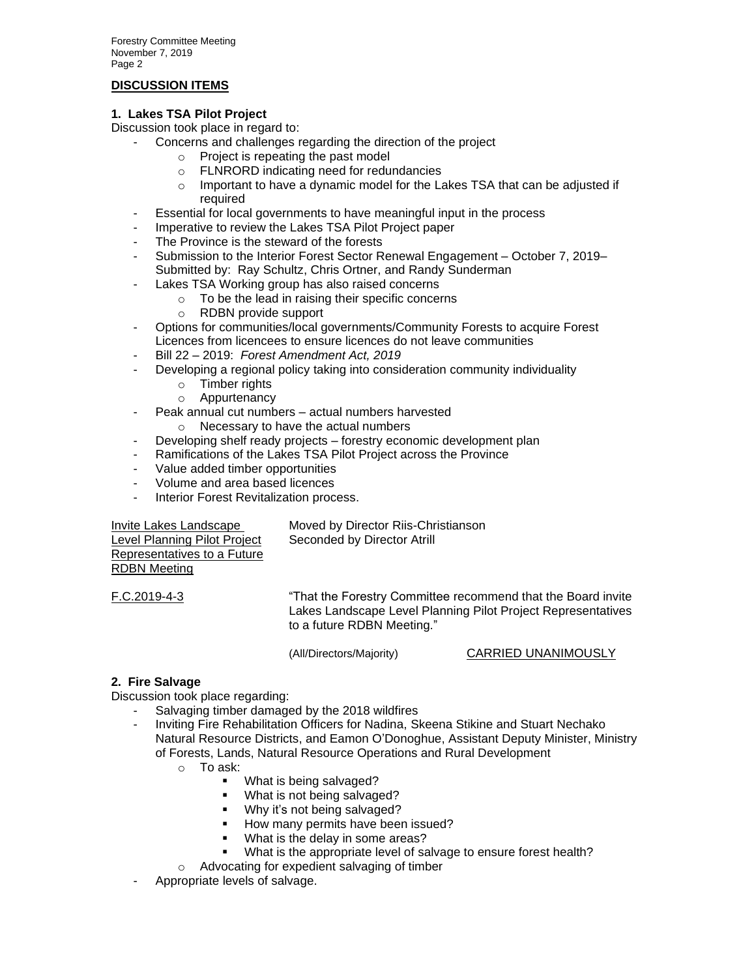Forestry Committee Meeting November 7, 2019 Page 2

# **DISCUSSION ITEMS**

#### **1. Lakes TSA Pilot Project**

Discussion took place in regard to:

- Concerns and challenges regarding the direction of the project
	- o Project is repeating the past model
	- o FLNRORD indicating need for redundancies
	- o Important to have a dynamic model for the Lakes TSA that can be adjusted if required
- Essential for local governments to have meaningful input in the process
- Imperative to review the Lakes TSA Pilot Project paper
- The Province is the steward of the forests
- Submission to the Interior Forest Sector Renewal Engagement October 7, 2019– Submitted by: Ray Schultz, Chris Ortner, and Randy Sunderman
- Lakes TSA Working group has also raised concerns
	- o To be the lead in raising their specific concerns
		- o RDBN provide support
- Options for communities/local governments/Community Forests to acquire Forest Licences from licencees to ensure licences do not leave communities
- Bill 22 2019: *Forest Amendment Act, 2019*
- Developing a regional policy taking into consideration community individuality
	- o Timber rights
	- o Appurtenancy
- Peak annual cut numbers actual numbers harvested
	- o Necessary to have the actual numbers
- Developing shelf ready projects forestry economic development plan
- Ramifications of the Lakes TSA Pilot Project across the Province
- Value added timber opportunities
- Volume and area based licences
- Interior Forest Revitalization process.

Invite Lakes Landscape Moved by Director Riis-Christianson Level Planning Pilot Project Seconded by Director Atrill Representatives to a Future RDBN Meeting

F.C.2019-4-3 "That the Forestry Committee recommend that the Board invite Lakes Landscape Level Planning Pilot Project Representatives to a future RDBN Meeting."

### (All/Directors/Majority) CARRIED UNANIMOUSLY

### **2. Fire Salvage**

Discussion took place regarding:

- Salvaging timber damaged by the 2018 wildfires
- Inviting Fire Rehabilitation Officers for Nadina, Skeena Stikine and Stuart Nechako Natural Resource Districts, and Eamon O'Donoghue, Assistant Deputy Minister, Ministry of Forests, Lands, Natural Resource Operations and Rural Development
	- o To ask:
		- What is being salvaged?
		- What is not being salvaged?
		- Why it's not being salvaged?
		- How many permits have been issued?
		- What is the delay in some areas?
		- What is the appropriate level of salvage to ensure forest health?
	- o Advocating for expedient salvaging of timber
- Appropriate levels of salvage.